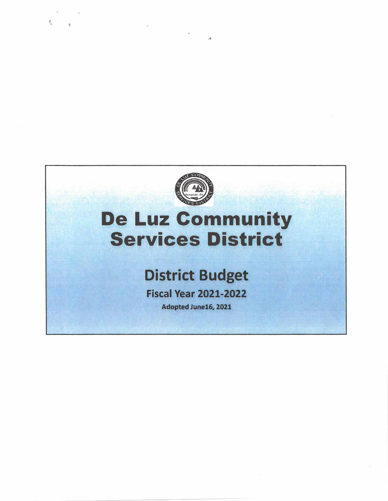

名

# De Luz Community Services District

# **District Budget**

**Fiscal Year 2021-2022** 

Adopted June16, 2021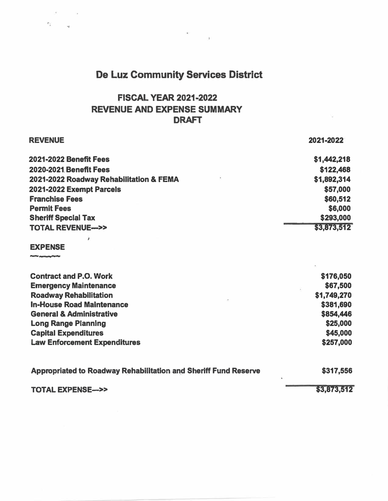## De Luz Community Services District

 $\alpha$  . <br>  $\label{eq:3} \alpha$ 

#### **FISCAL YEAR 2021-2022 REVENUE AND EXPENSE SUMMARY**  DRAFT

..

| <b>REVENUE</b>                                                         | 2021-2022   |
|------------------------------------------------------------------------|-------------|
| <b>2021-2022 Benefit Fees</b>                                          | \$1,442,218 |
| 2020-2021 Benefit Fees                                                 | \$122,468   |
| 2021-2022 Roadway Rehabilitation & FEMA                                | \$1,892,314 |
| 2021-2022 Exempt Parcels                                               | \$57,000    |
| <b>Franchise Fees</b>                                                  | \$60,512    |
| <b>Permit Fees</b>                                                     | \$6,000     |
| <b>Sheriff Special Tax</b>                                             | \$293,000   |
| <b>TOTAL REVENUE--&gt;&gt;</b>                                         | \$3,873,512 |
|                                                                        |             |
| <b>EXPENSE</b>                                                         |             |
|                                                                        |             |
| <b>Contract and P.O. Work</b>                                          | \$176,050   |
| <b>Emergency Maintenance</b>                                           | \$67,500    |
| <b>Roadway Rehabilitation</b>                                          | \$1,749,270 |
| <b>In-House Road Maintenance</b>                                       | \$381,690   |
| <b>General &amp; Administrative</b>                                    | \$854,446   |
| <b>Long Range Planning</b>                                             | \$25,000    |
| <b>Capital Expenditures</b>                                            | \$45,000    |
| <b>Law Enforcement Expenditures</b>                                    | \$257,000   |
| <b>Appropriated to Roadway Rehabilitation and Sheriff Fund Reserve</b> | \$317,556   |
| <b>TOTAL EXPENSE--&gt;&gt;</b>                                         | \$3,873,512 |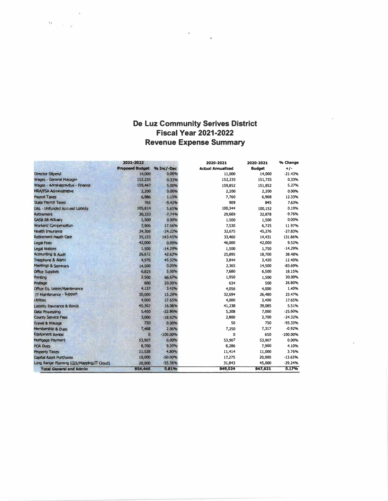# De Luz Community Serives District<br>Fiscal Year 2021-2022 **Revenue Expense Summary**

 $\ddot{\phantom{a}}$ 

|                                           | 2021-2022              |            | 2020-2021<br><b>Actual Annualized</b> | 2020-2021<br><b>Budget</b> | % Change<br>$+/-$ |
|-------------------------------------------|------------------------|------------|---------------------------------------|----------------------------|-------------------|
|                                           | <b>Proposed Budget</b> | % Inc/-Dec |                                       |                            |                   |
| <b>Director Stipend</b>                   | 14,000                 | 0.00%      | 11,000                                | 14,000                     | $-21.43%$         |
| Wages - General Manager                   | 152,235                | 0.33%      | 152,235                               | 151,735                    | 0.33%             |
| Wages - Administravitive - Finance        | 159,447                | 5.00%      | 159,852                               | 151,852                    | 5.27%             |
| <b>HRA/FSA Administrative</b>             | 2,200                  | 0.00%      | 2,200                                 | 2,200                      | 0.00%             |
| Payroll Taxes                             | 6,986                  | 1.13%      | 7,760                                 | 6,908                      | 12.33%            |
| <b>State Payroll Taxes</b>                | 765                    | $-9.42%$   | 909                                   | 845                        | 7.63%             |
| <b>UAL - Unfunded Accrued Liability</b>   | 105,814                | 5.65%      | 100,344                               | 100,152                    | 0.19%             |
| <b>Retirement</b>                         | 30,333                 | $-7.74%$   | 29,669                                | 32,878                     | $-9.76%$          |
| <b>GASB 68 Actuary</b>                    | 1,500                  | 0.00%      | 1,500                                 | 1,500                      | 0.00%             |
| <b>Workers' Compensation</b>              | 7,906                  | 17.56%     | 7,530                                 | 6,725                      | 11.97%            |
| <b>Health Insurance</b>                   | 34,309                 | $-24.22%$  | 32,675                                | 45,276                     | $-27.83%$         |
| <b>Retirement Heath Care</b>              | 35,133                 | 143,45%    | 33,460                                | 14,431                     | 131.86%           |
| Legal Fees                                | 42,000                 | 0.00%      | 46,000                                | 42,000                     | 9.52%             |
| <b>Legal Notices</b>                      | 1,500                  | $-14.29%$  | 1,500                                 | 1,750                      | $-14.29%$         |
| <b>Accounting &amp; Audit</b>             | 26,672                 | 42.63%     | 25,895                                | 18,700                     | 38.48%            |
| <b>Telephone &amp; Alami</b>              | 4,970                  | 45.32%     | 3,844                                 | 3,420                      | 12.40%            |
| Meetings & Seminars                       | 14,500                 | 0.00%      | 2,365                                 | 14,500                     | $-83.69%$         |
| <b>Office Supplies</b>                    | 6,825                  | 5.00%      | 7,680                                 | 6,500                      | 18.15%            |
| Printing                                  | 2,500                  | 66,67%     | 1,950                                 | 1,500                      | 30.00%            |
| <b>Postage</b>                            | 600                    | 20.00%     | 634                                   | 500                        | 26.80%            |
| Office Eq. Lease/Matritenance             | 4,137                  | 3.42%      | 4,056                                 | 4,000                      | 1.40%             |
| IT Malmenance - Support                   | 30,000                 | 13.29%     | 32,694                                | 26,480                     | 23.47%            |
| <b>Utilities</b>                          | 4,000                  | 17.65%     | 4,000                                 | 3,400                      | 17.65%            |
| Liability Insurance & Bonds               | 45,362                 | 16.06%     | 41,238                                | 39,085                     | 5.51%             |
| Data Processing                           | 5,400                  | $-22.86%$  | 5,208                                 | 7,000                      | $-25.60%$         |
| <b>County Service Fees</b>                | 3,000                  | $-18.92%$  | 2,800                                 | 3,700                      | $-24.32%$         |
| <b>Travel &amp; Mileage</b>               | 750                    | 0.00%      | 50                                    | 750                        | $-93.33%$         |
| Membership & Dues                         | 7,468                  | 2.06%      | 7,250                                 | 7,317                      | $-0.92%$          |
| <b>Equipment Rental</b>                   | $\bf{0}$               | $-100,00%$ | $\mathbf{0}$                          | 650                        | $-100.00%$        |
| <b>Martgage Payment</b>                   | 53,907                 | 0.00%      | 53,907                                | 53,907                     | 0.00%             |
| <b>POA Dues</b>                           | 8,700                  | 9.30%      | 8,286                                 | 7,960                      | 4.10%             |
| <b>Property Taxes</b>                     | 11,528                 | 4.80%      | 11,414                                | 11,000                     | 3.76%             |
| <b>Capital Asset Purchases</b>            | 10,000                 | $-50.00%$  | 17,275                                | 20,000                     | $-13.63%$         |
| Long Range Planning (GIS/Mapping/IT Ooud) | 20,000                 | $-55.56%$  | 31,843                                | 45,000                     | $-29.24%$         |
| <b>Total General and Admin</b>            | 854,446                | 0.81%      | 849,024                               | 847,621                    | 0.17%             |

 $\alpha$  ,  $\beta$